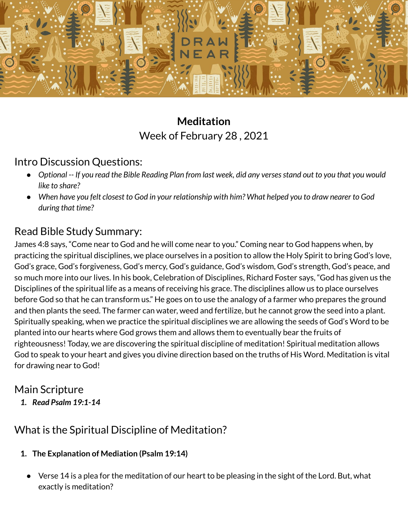

# **Meditation** Week of February 28 , 2021

## Intro Discussion Questions:

- Optional -- If you read the Bible Reading Plan from last week, did any verses stand out to you that you would *like to share?*
- When have you felt closest to God in your relationship with him? What helped you to draw nearer to God *during that time?*

## Read Bible Study Summary:

James 4:8 says, "Come near to God and he will come near to you." Coming near to God happens when, by practicing the spiritual disciplines, we place ourselves in a position to allow the Holy Spirit to bring God's love, God's grace, God's forgiveness, God's mercy, God's guidance, God's wisdom, God's strength, God's peace, and so much more into our lives. In his book, Celebration of Disciplines, Richard Foster says, "God has given us the Disciplines of the spiritual life as a means of receiving his grace. The disciplines allow us to place ourselves before God so that he can transform us." He goes on to use the analogy of a farmer who prepares the ground and then plants the seed. The farmer can water, weed and fertilize, but he cannot grow the seed into a plant. Spiritually speaking, when we practice the spiritual disciplines we are allowing the seeds of God's Word to be planted into our hearts where God grows them and allows them to eventually bear the fruits of righteousness! Today, we are discovering the spiritual discipline of meditation! Spiritual meditation allows God to speak to your heart and gives you divine direction based on the truths of His Word. Meditation is vital for drawing near to God!

## Main Scripture

*1. Read Psalm 19:1-14*

## What is the Spiritual Discipline of Meditation?

- **1. The Explanation of Mediation (Psalm 19:14)**
	- Verse 14 is a plea for the meditation of our heart to be pleasing in the sight of the Lord. But, what exactly is meditation?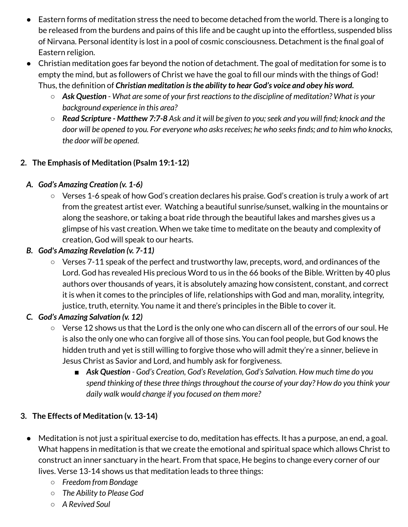- Eastern forms of meditation stress the need to become detached from the world. There is a longing to be released from the burdens and pains of this life and be caught up into the effortless, suspended bliss of Nirvana. Personal identity is lost in a pool of cosmic consciousness. Detachment is the final goal of Eastern religion.
- Christian meditation goes far beyond the notion of detachment. The goal of meditation for some is to empty the mind, but as followers of Christ we have the goal to fill our minds with the things of God! Thus, the definition of *Christian meditation isthe ability to hear God's voice and obey his word.*
	- *Ask Question - What are some of your first reactionsto the discipline of meditation? What is your background experience in this area?*
	- Read Scripture Matthew 7:7-8 Ask and it will be given to you; seek and you will find; knock and the door will be opened to you. For everyone who asks receives; he who seeks finds; and to him who knocks, *the door will be opened.*

#### **2. The Emphasis of Meditation (Psalm 19:1-12)**

#### *A. God's Amazing Creation (v. 1-6)*

○ Verses 1-6 speak of how God's creation declares his praise. God's creation is truly a work of art from the greatest artist ever. Watching a beautiful sunrise/sunset, walking in the mountains or along the seashore, or taking a boat ride through the beautiful lakes and marshes gives us a glimpse of his vast creation. When we take time to meditate on the beauty and complexity of creation, God will speak to our hearts.

#### *B. God's Amazing Revelation (v. 7-11)*

○ Verses 7-11 speak of the perfect and trustworthy law, precepts, word, and ordinances of the Lord. God has revealed His precious Word to us in the 66 books of the Bible. Written by 40 plus authors over thousands of years, it is absolutely amazing how consistent, constant, and correct it is when it comes to the principles of life, relationships with God and man, morality, integrity, justice, truth, eternity. You name it and there's principles in the Bible to cover it.

#### *C. God's Amazing Salvation (v. 12)*

- Verse 12 shows us that the Lord is the only one who can discern all of the errors of our soul. He is also the only one who can forgive all of those sins. You can fool people, but God knows the hidden truth and yet is still willing to forgive those who will admit they're a sinner, believe in Jesus Christ as Savior and Lord, and humbly ask for forgiveness.
	- *■ Ask Question - God's Creation, God's Revelation, God's Salvation. How much time do you spend thinking of these three thingsthroughout the course of your day? How do you think your daily walk would change if you focused on them more?*

#### **3. The Effects of Meditation (v. 13-14)**

- Meditation is not just a spiritual exercise to do, meditation has effects. It has a purpose, an end, a goal. What happens in meditation is that we create the emotional and spiritual space which allows Christ to construct an inner sanctuary in the heart. From that space, He begins to change every corner of our lives. Verse 13-14 shows us that meditation leads to three things:
	- *○ Freedom from Bondage*
	- *○ The Ability to Please God*
	- *○ A Revived Soul*